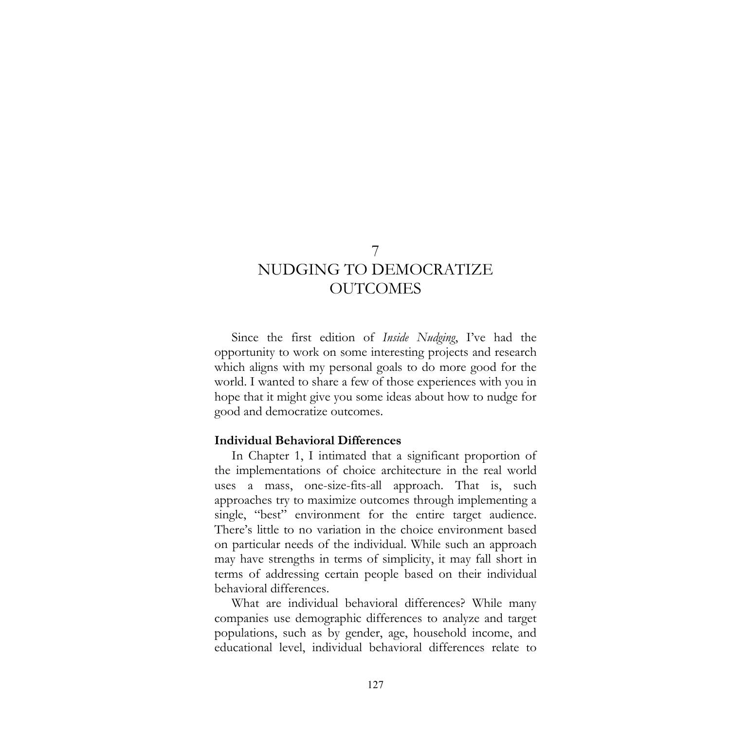# 7 NUDGING TO DEMOCRATIZE **OUTCOMES**

Since the first edition of *Inside Nudging*, I've had the opportunity to work on some interesting projects and research which aligns with my personal goals to do more good for the world. I wanted to share a few of those experiences with you in hope that it might give you some ideas about how to nudge for good and democratize outcomes.

#### **Individual Behavioral Differences**

In Chapter 1, I intimated that a significant proportion of the implementations of choice architecture in the real world uses a mass, one-size-fits-all approach. That is, such approaches try to maximize outcomes through implementing a single, "best" environment for the entire target audience. There's little to no variation in the choice environment based on particular needs of the individual. While such an approach may have strengths in terms of simplicity, it may fall short in terms of addressing certain people based on their individual behavioral differences.

What are individual behavioral differences? While many companies use demographic differences to analyze and target populations, such as by gender, age, household income, and educational level, individual behavioral differences relate to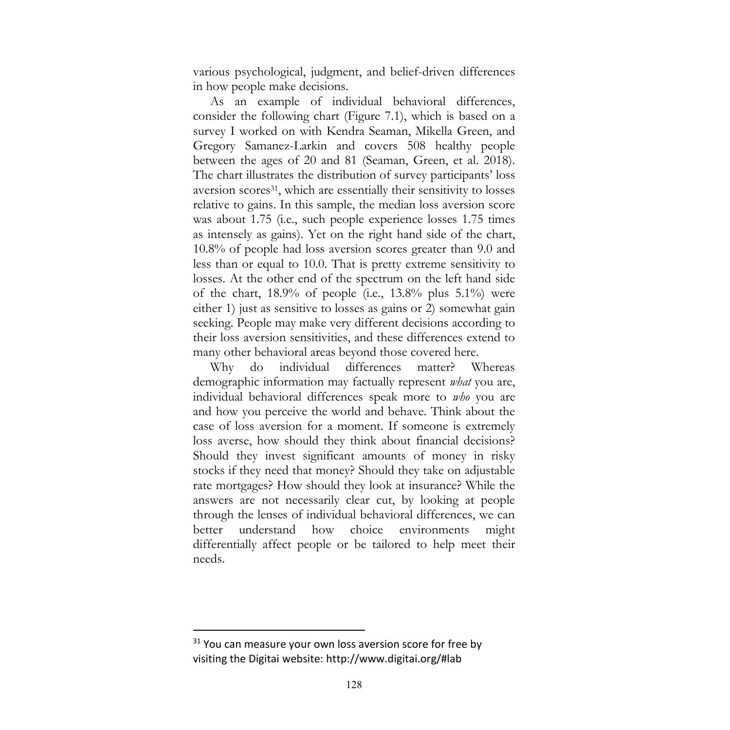various psychological, judgment, and belief-driven differences in how people make decisions.

As an example of individual behavioral differences, consider the following chart (Figure 7.1), which is based on a survey I worked on with Kendra Seaman, Mikella Green, and Gregory Samanez-Larkin and covers 508 healthy people between the ages of 20 and 81 (Seaman, Green, et al. 2018). The chart illustrates the distribution of survey participants' loss aversion scores31, which are essentially their sensitivity to losses relative to gains. In this sample, the median loss aversion score was about 1.75 (i.e., such people experience losses 1.75 times as intensely as gains). Yet on the right hand side of the chart, 10.8% of people had loss aversion scores greater than 9.0 and less than or equal to 10.0. That is pretty extreme sensitivity to losses. At the other end of the spectrum on the left hand side of the chart,  $18.9\%$  of people (i.e.,  $13.8\%$  plus  $5.1\%$ ) were either 1) just as sensitive to losses as gains or 2) somewhat gain seeking. People may make very different decisions according to their loss aversion sensitivities, and these differences extend to many other behavioral areas beyond those covered here.

Why do individual differences matter? Whereas demographic information may factually represent *what* you are, individual behavioral differences speak more to *who* you are and how you perceive the world and behave. Think about the case of loss aversion for a moment. If someone is extremely loss averse, how should they think about financial decisions? Should they invest significant amounts of money in risky stocks if they need that money? Should they take on adjustable rate mortgages? How should they look at insurance? While the answers are not necessarily clear cut, by looking at people through the lenses of individual behavioral differences, we can better understand how choice environments might differentially affect people or be tailored to help meet their needs.

<sup>&</sup>lt;sup>31</sup> You can measure your own loss aversion score for free by visiting the Digitai website: http://www.digitai.org/#lab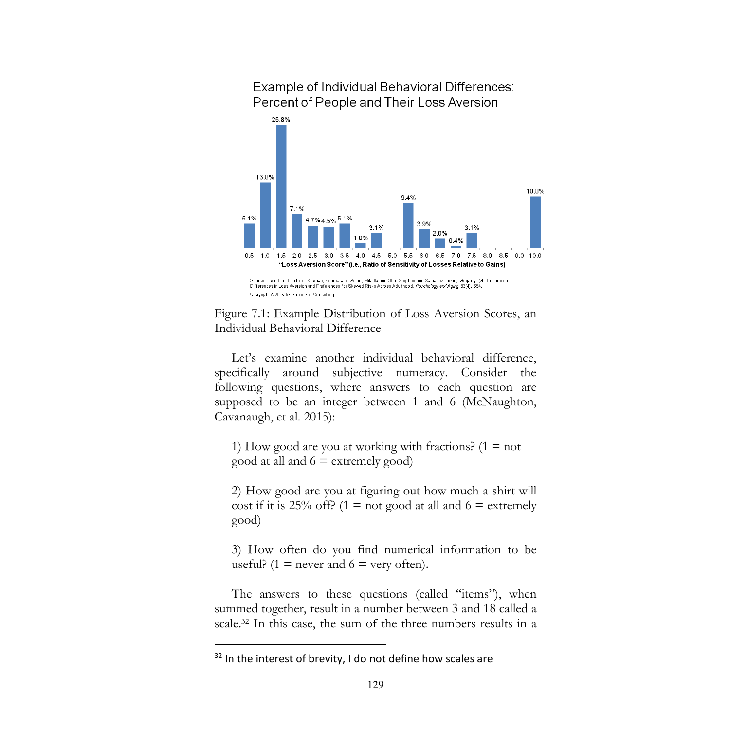

### Example of Individual Behavioral Differences: Percent of People and Their Loss Aversion



Let's examine another individual behavioral difference, specifically around subjective numeracy. Consider the following questions, where answers to each question are supposed to be an integer between 1 and 6 (McNaughton, Cavanaugh, et al. 2015):

1) How good are you at working with fractions?  $(1 = not$ good at all and  $6 \equiv$  extremely good)

2) How good are you at figuring out how much a shirt will cost if it is 25% off? (1 = not good at all and 6 = extremely good)

3) How often do you find numerical information to be useful? (1 = never and  $6$  = very often).

The answers to these questions (called "items"), when summed together, result in a number between 3 and 18 called a scale.32 In this case, the sum of the three numbers results in a

<sup>&</sup>lt;sup>32</sup> In the interest of brevity, I do not define how scales are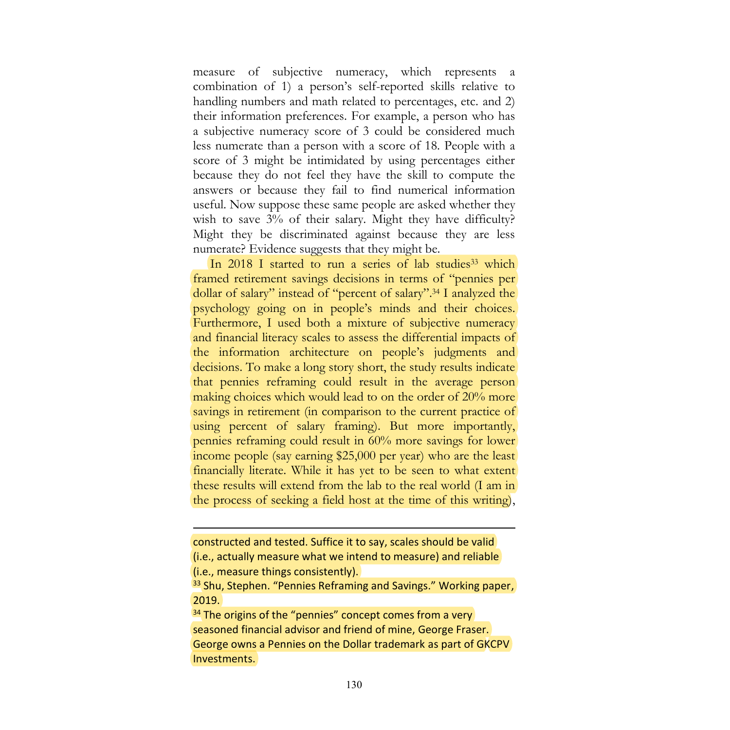measure of subjective numeracy, which represents a combination of 1) a person's self-reported skills relative to handling numbers and math related to percentages, etc. and 2) their information preferences. For example, a person who has a subjective numeracy score of 3 could be considered much less numerate than a person with a score of 18. People with a score of 3 might be intimidated by using percentages either because they do not feel they have the skill to compute the answers or because they fail to find numerical information useful. Now suppose these same people are asked whether they wish to save 3% of their salary. Might they have difficulty? Might they be discriminated against because they are less numerate? Evidence suggests that they might be.

In 2018 I started to run a series of lab studies<sup>33</sup> which framed retirement savings decisions in terms of "pennies per dollar of salary" instead of "percent of salary". <sup>34</sup> I analyzed the psychology going on in people's minds and their choices. Furthermore, I used both a mixture of subjective numeracy and financial literacy scales to assess the differential impacts of the information architecture on people's judgments and decisions. To make a long story short, the study results indicate that pennies reframing could result in the average person making choices which would lead to on the order of 20% more savings in retirement (in comparison to the current practice of using percent of salary framing). But more importantly, pennies reframing could result in 60% more savings for lower income people (say earning \$25,000 per year) who are the least financially literate. While it has yet to be seen to what extent these results will extend from the lab to the real world (I am in the process of seeking a field host at the time of this writing),

 $\overline{a}$ 

constructed and tested. Suffice it to say, scales should be valid (i.e., actually measure what we intend to measure) and reliable (i.e., measure things consistently).

<sup>&</sup>lt;sup>33</sup> Shu, Stephen. "Pennies Reframing and Savings." Working paper, 2019.

<sup>&</sup>lt;sup>34</sup> The origins of the "pennies" concept comes from a very seasoned financial advisor and friend of mine, George Fraser. George owns a Pennies on the Dollar trademark as part of GKCPV Investments.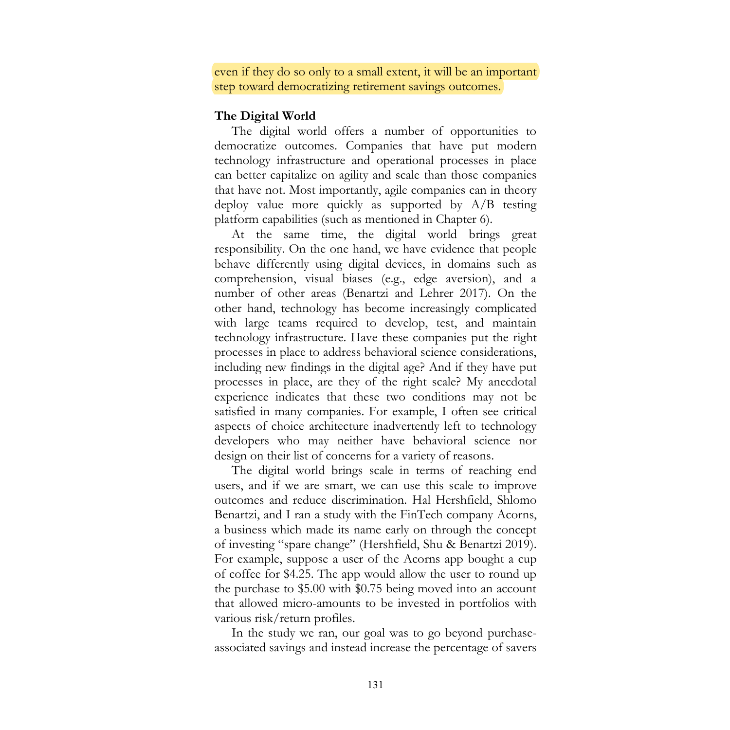even if they do so only to a small extent, it will be an important step toward democratizing retirement savings outcomes.

#### **The Digital World**

The digital world offers a number of opportunities to democratize outcomes. Companies that have put modern technology infrastructure and operational processes in place can better capitalize on agility and scale than those companies that have not. Most importantly, agile companies can in theory deploy value more quickly as supported by A/B testing platform capabilities (such as mentioned in Chapter 6).

At the same time, the digital world brings great responsibility. On the one hand, we have evidence that people behave differently using digital devices, in domains such as comprehension, visual biases (e.g., edge aversion), and a number of other areas (Benartzi and Lehrer 2017). On the other hand, technology has become increasingly complicated with large teams required to develop, test, and maintain technology infrastructure. Have these companies put the right processes in place to address behavioral science considerations, including new findings in the digital age? And if they have put processes in place, are they of the right scale? My anecdotal experience indicates that these two conditions may not be satisfied in many companies. For example, I often see critical aspects of choice architecture inadvertently left to technology developers who may neither have behavioral science nor design on their list of concerns for a variety of reasons.

The digital world brings scale in terms of reaching end users, and if we are smart, we can use this scale to improve outcomes and reduce discrimination. Hal Hershfield, Shlomo Benartzi, and I ran a study with the FinTech company Acorns, a business which made its name early on through the concept of investing "spare change" (Hershfield, Shu & Benartzi 2019). For example, suppose a user of the Acorns app bought a cup of coffee for \$4.25. The app would allow the user to round up the purchase to \$5.00 with \$0.75 being moved into an account that allowed micro-amounts to be invested in portfolios with various risk/return profiles.

In the study we ran, our goal was to go beyond purchaseassociated savings and instead increase the percentage of savers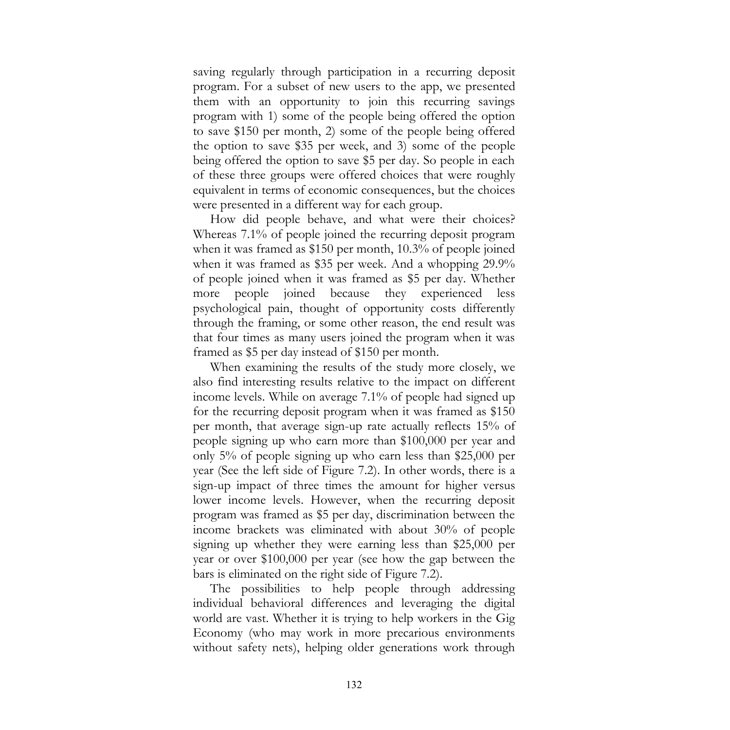saving regularly through participation in a recurring deposit program. For a subset of new users to the app, we presented them with an opportunity to join this recurring savings program with 1) some of the people being offered the option to save \$150 per month, 2) some of the people being offered the option to save \$35 per week, and 3) some of the people being offered the option to save \$5 per day. So people in each of these three groups were offered choices that were roughly equivalent in terms of economic consequences, but the choices were presented in a different way for each group.

How did people behave, and what were their choices? Whereas 7.1% of people joined the recurring deposit program when it was framed as \$150 per month, 10.3% of people joined when it was framed as \$35 per week. And a whopping 29.9% of people joined when it was framed as \$5 per day. Whether more people joined because they experienced less psychological pain, thought of opportunity costs differently through the framing, or some other reason, the end result was that four times as many users joined the program when it was framed as \$5 per day instead of \$150 per month.

When examining the results of the study more closely, we also find interesting results relative to the impact on different income levels. While on average 7.1% of people had signed up for the recurring deposit program when it was framed as \$150 per month, that average sign-up rate actually reflects 15% of people signing up who earn more than \$100,000 per year and only 5% of people signing up who earn less than \$25,000 per year (See the left side of Figure 7.2). In other words, there is a sign-up impact of three times the amount for higher versus lower income levels. However, when the recurring deposit program was framed as \$5 per day, discrimination between the income brackets was eliminated with about 30% of people signing up whether they were earning less than \$25,000 per year or over \$100,000 per year (see how the gap between the bars is eliminated on the right side of Figure 7.2).

The possibilities to help people through addressing individual behavioral differences and leveraging the digital world are vast. Whether it is trying to help workers in the Gig Economy (who may work in more precarious environments without safety nets), helping older generations work through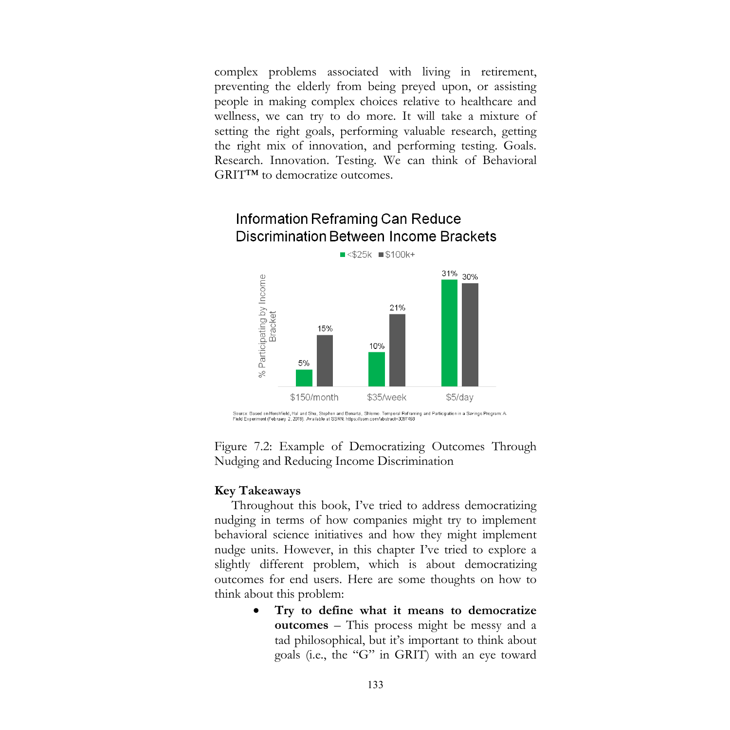complex problems associated with living in retirement, preventing the elderly from being preyed upon, or assisting people in making complex choices relative to healthcare and wellness, we can try to do more. It will take a mixture of setting the right goals, performing valuable research, getting the right mix of innovation, and performing testing. Goals. Research. Innovation. Testing. We can think of Behavioral GRIT™ to democratize outcomes.

### $\blacksquare$  <\$25k  $\blacksquare$ \$100k+ 31% 30% % Participating by Income<br>Bracket 21% 15% 10% 5% \$150/month \$35/week \$5/day Source: Based on Hershfield, Hal and Shu, Stephen and Benartzi, Shlomo. Temporal Reframing and Participation in a Savings Program: A<br>Field Experiment (February 2, 2019). Available at SSRN: https://ssrn.com/abstract=3097468

## Information Reframing Can Reduce **Discrimination Between Income Brackets**

Figure 7.2: Example of Democratizing Outcomes Through Nudging and Reducing Income Discrimination

#### **Key Takeaways**

Throughout this book, I've tried to address democratizing nudging in terms of how companies might try to implement behavioral science initiatives and how they might implement nudge units. However, in this chapter I've tried to explore a slightly different problem, which is about democratizing outcomes for end users. Here are some thoughts on how to think about this problem:

> • **Try to define what it means to democratize outcomes** – This process might be messy and a tad philosophical, but it's important to think about goals (i.e., the "G" in GRIT) with an eye toward